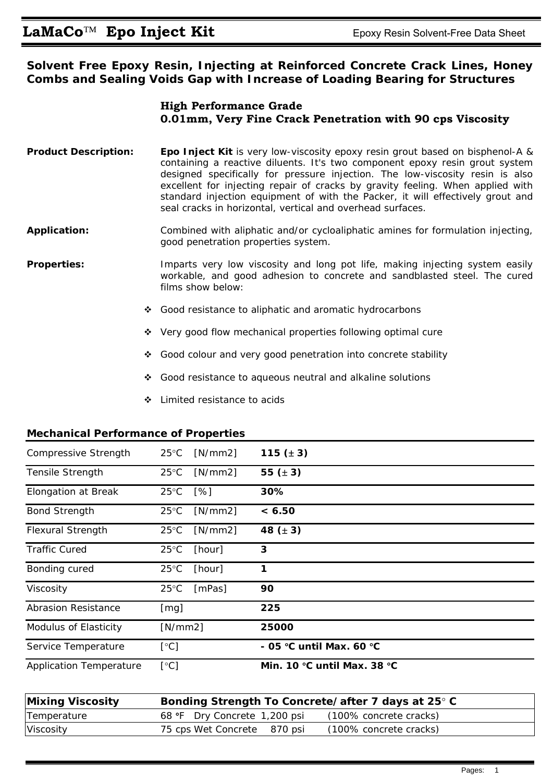**Solvent Free Epoxy Resin, Injecting at Reinforced Concrete Crack Lines, Honey Combs and Sealing Voids Gap with Increase of Loading Bearing for Structures** 

## **High Performance Grade 0.01mm, Very Fine Crack Penetration with 90 cps Viscosity**

- **Product Description: Epo Inject Kit** is very low-viscosity epoxy resin grout based on bisphenol-A & containing a reactive diluents. It's two component epoxy resin grout system designed specifically for pressure injection. The low-viscosity resin is also excellent for injecting repair of cracks by gravity feeling. When applied with standard injection equipment of with the Packer, it will effectively grout and seal cracks in horizontal, vertical and overhead surfaces.
- **Application:** Combined with aliphatic and/or cycloaliphatic amines for formulation injecting, good penetration properties system.
- **Properties:** Imparts very low viscosity and long pot life, making injecting system easily workable, and good adhesion to concrete and sandblasted steel. The cured films show below:
	- ❖ Good resistance to aliphatic and aromatic hydrocarbons
	- ◆ Very good flow mechanical properties following optimal cure
	- Good colour and very good penetration into concrete stability
	- Good resistance to aqueous neutral and alkaline solutions
	- Limited resistance to acids

## **Mechanical Performance of Properties**

| Compressive Strength           | $25^{\circ}$ C | [N/mm2]            | 115 $(± 3)$                 |
|--------------------------------|----------------|--------------------|-----------------------------|
| <b>Tensile Strength</b>        | $25^{\circ}$ C | [N/mm2]            | 55 $(\pm 3)$                |
| <b>Elongation at Break</b>     | $25^{\circ}$ C | $\lceil \% \rceil$ | 30%                         |
| <b>Bond Strength</b>           | $25^{\circ}$ C | [N/mm2]            | < 6.50                      |
| <b>Flexural Strength</b>       | $25^{\circ}$ C | [N/mm2]            | 48 $(\pm 3)$                |
| <b>Traffic Cured</b>           | $25^{\circ}$ C | [hour]             | 3                           |
| Bonding cured                  | $25^{\circ}$ C | [hour]             | 1                           |
| Viscosity                      | $25^{\circ}$ C | [mPas]             | 90                          |
| <b>Abrasion Resistance</b>     | [mg]           |                    | 225                         |
| Modulus of Elasticity          | [N/mm2]        |                    | 25000                       |
| Service Temperature            | [°C]           |                    | - 05 °C until Max. 60 °C    |
| <b>Application Temperature</b> | [°C]           |                    | Min. 10 °C until Max. 38 °C |

| <b>Mixing Viscosity</b> | Bonding Strength To Concrete/after 7 days at 25° C     |  |  |  |  |
|-------------------------|--------------------------------------------------------|--|--|--|--|
| Temperature             | (100% concrete cracks)<br>68 °F Dry Concrete 1,200 psi |  |  |  |  |
| Viscosity               | (100% concrete cracks)<br>75 cps Wet Concrete 870 psi  |  |  |  |  |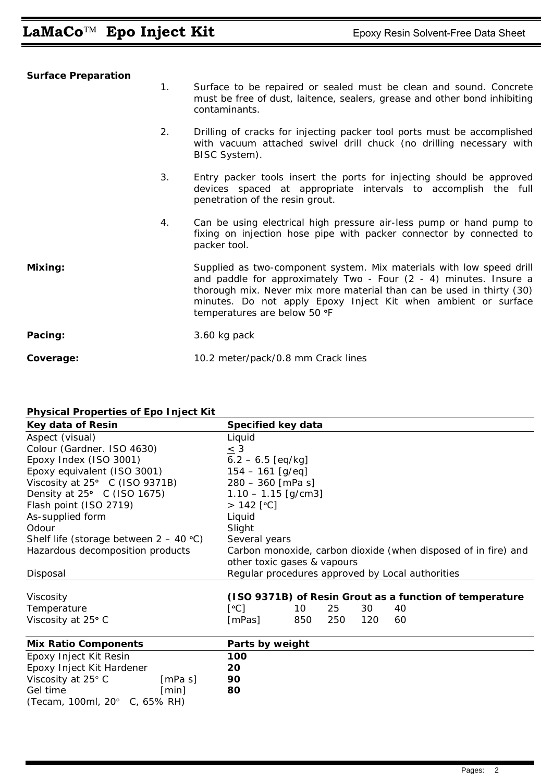| <b>Surface Preparation</b> |    |                                                                                                                                                                                                                                                                                                                        |
|----------------------------|----|------------------------------------------------------------------------------------------------------------------------------------------------------------------------------------------------------------------------------------------------------------------------------------------------------------------------|
|                            | 1. | Surface to be repaired or sealed must be clean and sound. Concrete<br>must be free of dust, laitence, sealers, grease and other bond inhibiting<br>contaminants.                                                                                                                                                       |
|                            | 2. | Drilling of cracks for injecting packer tool ports must be accomplished<br>with vacuum attached swivel drill chuck (no drilling necessary with<br>BISC System).                                                                                                                                                        |
|                            | 3. | Entry packer tools insert the ports for injecting should be approved<br>devices spaced at appropriate intervals to accomplish the full<br>penetration of the resin grout.                                                                                                                                              |
|                            | 4. | Can be using electrical high pressure air-less pump or hand pump to<br>fixing on injection hose pipe with packer connector by connected to<br>packer tool.                                                                                                                                                             |
| Mixing:                    |    | Supplied as two-component system. Mix materials with low speed drill<br>and paddle for approximately Two - Four $(2 - 4)$ minutes. Insure a<br>thorough mix. Never mix more material than can be used in thirty (30)<br>minutes. Do not apply Epoxy Inject Kit when ambient or surface<br>temperatures are below 50 °F |
| Pacing:                    |    | 3.60 kg pack                                                                                                                                                                                                                                                                                                           |
| Coverage:                  |    | 10.2 meter/pack/0.8 mm Crack lines                                                                                                                                                                                                                                                                                     |

## **Physical Properties of Epo Inject Kit**

| Key data of Resin                        |         | Specified key data                                             |     |     |     |    |                                                         |  |
|------------------------------------------|---------|----------------------------------------------------------------|-----|-----|-----|----|---------------------------------------------------------|--|
| Aspect (visual)                          |         | Liquid                                                         |     |     |     |    |                                                         |  |
| Colour (Gardner. ISO 4630)               |         | $\leq$ 3                                                       |     |     |     |    |                                                         |  |
| Epoxy Index (ISO 3001)                   |         | $6.2 - 6.5$ [eq/kg]                                            |     |     |     |    |                                                         |  |
| Epoxy equivalent (ISO 3001)              |         | $154 - 161$ [g/eq]                                             |     |     |     |    |                                                         |  |
| Viscosity at 25° C (ISO 9371B)           |         | $280 - 360$ [mPa s]                                            |     |     |     |    |                                                         |  |
| Density at $25^{\circ}$ C (ISO 1675)     |         | $1.10 - 1.15$ [g/cm3]                                          |     |     |     |    |                                                         |  |
| Flash point (ISO 2719)                   |         | $> 142$ [°C]                                                   |     |     |     |    |                                                         |  |
| As-supplied form                         |         | Liquid                                                         |     |     |     |    |                                                         |  |
| Odour                                    |         | Slight                                                         |     |     |     |    |                                                         |  |
| Shelf life (storage between $2 - 40$ °C) |         | Several years                                                  |     |     |     |    |                                                         |  |
| Hazardous decomposition products         |         | Carbon monoxide, carbon dioxide (when disposed of in fire) and |     |     |     |    |                                                         |  |
|                                          |         | other toxic gases & vapours                                    |     |     |     |    |                                                         |  |
| Disposal                                 |         | Regular procedures approved by Local authorities               |     |     |     |    |                                                         |  |
|                                          |         |                                                                |     |     |     |    |                                                         |  |
| Viscosity                                |         |                                                                |     |     |     |    | (ISO 9371B) of Resin Grout as a function of temperature |  |
| Temperature                              |         | [°C]                                                           | 10  | 25  | 30  | 40 |                                                         |  |
| Viscosity at 25° C                       |         | [mPas]                                                         | 850 | 250 | 120 | 60 |                                                         |  |
| <b>Mix Ratio Components</b>              |         | Parts by weight                                                |     |     |     |    |                                                         |  |
| Epoxy Inject Kit Resin                   |         | 100                                                            |     |     |     |    |                                                         |  |
| Epoxy Inject Kit Hardener                |         | 20                                                             |     |     |     |    |                                                         |  |
| Viscosity at 25° C                       | [mPa s] | 90                                                             |     |     |     |    |                                                         |  |
| Gel time                                 | [min]   | 80                                                             |     |     |     |    |                                                         |  |
| (Tecam, 100ml, 20° C, 65% RH)            |         |                                                                |     |     |     |    |                                                         |  |